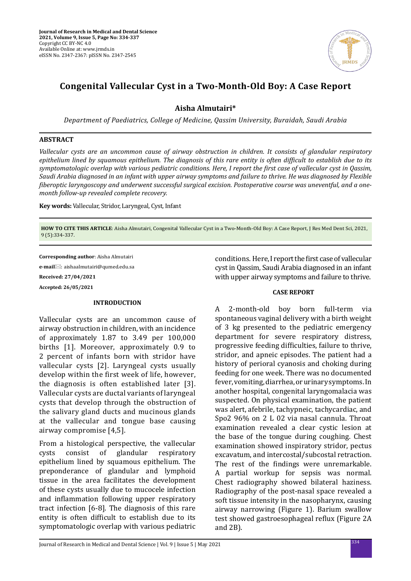

# **Congenital Vallecular Cyst in a Two-Month-Old Boy: A Case Report**

**Aisha Almutairi\***

*Department of Paediatrics, College of Medicine, Qassim University, Buraidah, Saudi Arabia*

#### **ABSTRACT**

*Vallecular cysts are an uncommon cause of airway obstruction in children. It consists of glandular respiratory epithelium lined by squamous epithelium. The diagnosis of this rare entity is often difficult to establish due to its symptomatologic overlap with various pediatric conditions. Here, I report the first case of vallecular cyst in Qassim, Saudi Arabia diagnosed in an infant with upper airway symptoms and failure to thrive. He was diagnosed by Flexible fiberoptic laryngoscopy and underwent successful surgical excision. Postoperative course was uneventful, and a onemonth follow-up revealed complete recovery.*

**Key words:** Vallecular, Stridor, Laryngeal, Cyst, Infant

**HOW TO CITE THIS ARTICLE**: Aisha Almutairi, Congenital Vallecular Cyst in a Two-Month-Old Boy: A Case Report, J Res Med Dent Sci, 2021, 9 (5):334-337.

**Corresponding author**: Aisha Almutairi

**e-mail**: aishaalmutairi@qumed.edu.sa

**Received: 27/04/2021**

**Accepted: 26/05/2021**

### **INTRODUCTION**

Vallecular cysts are an uncommon cause of airway obstruction in children, with an incidence of approximately 1.87 to 3.49 per 100,000 births [1]. Moreover, approximately 0.9 to 2 percent of infants born with stridor have vallecular cysts [2]. Laryngeal cysts usually develop within the first week of life, however, the diagnosis is often established later [3]. Vallecular cysts are ductal variants of laryngeal cysts that develop through the obstruction of the salivary gland ducts and mucinous glands at the vallecular and tongue base causing airway compromise [4,5].

From a histological perspective, the vallecular<br>cysts consist of glandular respiratory cysts consist of glandular respiratory epithelium lined by squamous epithelium. The preponderance of glandular and lymphoid tissue in the area facilitates the development of these cysts usually due to mucocele infection and inflammation following upper respiratory tract infection [6-8]. The diagnosis of this rare entity is often difficult to establish due to its symptomatologic overlap with various pediatric conditions. Here, I report the first case of vallecular cyst in Qassim, Saudi Arabia diagnosed in an infant with upper airway symptoms and failure to thrive.

### **CASE REPORT**

A 2-month-old boy born full-term via spontaneous vaginal delivery with a birth weight of 3 kg presented to the pediatric emergency department for severe respiratory distress, progressive feeding difficulties, failure to thrive, stridor, and apneic episodes. The patient had a history of perioral cyanosis and choking during feeding for one week. There was no documented fever, vomiting, diarrhea, or urinary symptoms. In another hospital, congenital laryngomalacia was suspected. On physical examination, the patient was alert, afebrile, tachypneic, tachycardiac, and Spo2 96% on 2 L 02 via nasal cannula. Throat examination revealed a clear cystic lesion at the base of the tongue during coughing. Chest examination showed inspiratory stridor, pectus excavatum, and intercostal/subcostal retraction. The rest of the findings were unremarkable. A partial workup for sepsis was normal. Chest radiography showed bilateral haziness. Radiography of the post-nasal space revealed a soft tissue intensity in the nasopharynx, causing airway narrowing (Figure 1). Barium swallow test showed gastroesophageal reflux (Figure 2A and 2B).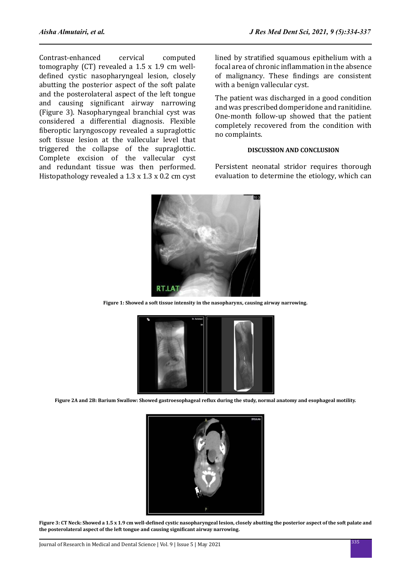Contrast-enhanced cervical computed tomography (CT) revealed a 1.5 x 1.9 cm welldefined cystic nasopharyngeal lesion, closely abutting the posterior aspect of the soft palate and the posterolateral aspect of the left tongue and causing significant airway narrowing (Figure 3). Nasopharyngeal branchial cyst was considered a differential diagnosis. Flexible fiberoptic laryngoscopy revealed a supraglottic soft tissue lesion at the vallecular level that triggered the collapse of the supraglottic. Complete excision of the vallecular cyst and redundant tissue was then performed. Histopathology revealed a 1.3 x 1.3 x 0.2 cm cyst lined by stratified squamous epithelium with a focal area of chronic inflammation in the absence of malignancy. These findings are consistent with a benign vallecular cyst.

The patient was discharged in a good condition and was prescribed domperidone and ranitidine. One-month follow-up showed that the patient completely recovered from the condition with no complaints.

### **DISCUSSION AND CONCLUSION**

Persistent neonatal stridor requires thorough evaluation to determine the etiology, which can



**Figure 1: Showed a soft tissue intensity in the nasopharynx, causing airway narrowing.**



**Figure 2A and 2B: Barium Swallow: Showed gastroesophageal reflux during the study, normal anatomy and esophageal motility.**



**Figure 3: CT Neck: Showed a 1.5 x 1.9 cm well-defined cystic nasopharyngeal lesion, closely abutting the posterior aspect of the soft palate and the posterolateral aspect of the left tongue and causing significant airway narrowing.**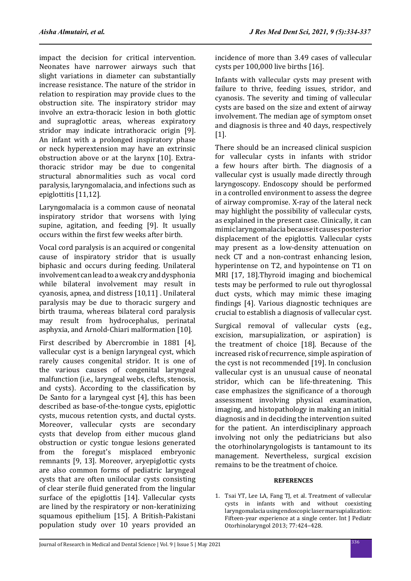impact the decision for critical intervention. Neonates have narrower airways such that slight variations in diameter can substantially increase resistance. The nature of the stridor in relation to respiration may provide clues to the obstruction site. The inspiratory stridor may involve an extra-thoracic lesion in both glottic and supraglottic areas, whereas expiratory stridor may indicate intrathoracic origin [9]. An infant with a prolonged inspiratory phase or neck hyperextension may have an extrinsic obstruction above or at the larynx [10]. Extrathoracic stridor may be due to congenital structural abnormalities such as vocal cord paralysis, laryngomalacia, and infections such as epiglottitis [11,12].

Laryngomalacia is a common cause of neonatal inspiratory stridor that worsens with lying supine, agitation, and feeding [9]. It usually occurs within the first few weeks after birth.

Vocal cord paralysis is an acquired or congenital cause of inspiratory stridor that is usually biphasic and occurs during feeding. Unilateral involvement can lead to a weak cry and dysphonia while bilateral involvement may result in cyanosis, apnea, and distress [10,11] . Unilateral paralysis may be due to thoracic surgery and birth trauma, whereas bilateral cord paralysis may result from hydrocephalus, perinatal asphyxia, and Arnold-Chiari malformation [10].

First described by Abercrombie in 1881 [4], vallecular cyst is a benign laryngeal cyst, which rarely causes congenital stridor. It is one of the various causes of congenital laryngeal malfunction (i.e., laryngeal webs, clefts, stenosis, and cysts). According to the classification by De Santo for a laryngeal cyst [4], this has been described as base-of-the-tongue cysts, epiglottic cysts, mucous retention cysts, and ductal cysts. Moreover, vallecular cysts are secondary cysts that develop from either mucous gland obstruction or cystic tongue lesions generated from the foregut's misplaced embryonic remnants [9, 13]. Moreover, aryepiglottic cysts are also common forms of pediatric laryngeal cysts that are often unilocular cysts consisting of clear sterile fluid generated from the lingular surface of the epiglottis [14]. Vallecular cysts are lined by the respiratory or non-keratinizing squamous epithelium [15]. A British-Pakistani population study over 10 years provided an incidence of more than 3.49 cases of vallecular cysts per 100,000 live births [16].

Infants with vallecular cysts may present with failure to thrive, feeding issues, stridor, and cyanosis. The severity and timing of vallecular cysts are based on the size and extent of airway involvement. The median age of symptom onset and diagnosis is three and 40 days, respectively [1].

There should be an increased clinical suspicion for vallecular cysts in infants with stridor a few hours after birth. The diagnosis of a vallecular cyst is usually made directly through laryngoscopy. Endoscopy should be performed in a controlled environment to assess the degree of airway compromise. X-ray of the lateral neck may highlight the possibility of vallecular cysts, as explained in the present case. Clinically, it can mimic laryngomalacia because it causes posterior displacement of the epiglottis. Vallecular cysts may present as a low-density attenuation on neck CT and a non-contrast enhancing lesion, hyperintense on T2, and hypointense on T1 on MRI [17, 18].Thyroid imaging and biochemical tests may be performed to rule out thyroglossal duct cysts, which may mimic these imaging findings [4]. Various diagnostic techniques are crucial to establish a diagnosis of vallecular cyst.

Surgical removal of vallecular cysts (e.g., excision, marsupialization, or aspiration) is the treatment of choice [18]. Because of the increased risk of recurrence, simple aspiration of the cyst is not recommended [19]. In conclusion vallecular cyst is an unusual cause of neonatal stridor, which can be life-threatening. This case emphasizes the significance of a thorough assessment involving physical examination, imaging, and histopathology in making an initial diagnosis and in deciding the intervention suited for the patient. An interdisciplinary approach involving not only the pediatricians but also the otorhinolaryngologists is tantamount to its management. Nevertheless, surgical excision remains to be the treatment of choice.

## **REFERENCES**

1. Tsai YT, Lee LA, Fang TJ, et al. Treatment of vallecular cysts in infants with and without coexisting laryngomalacia using endoscopic laser marsupialization: Fifteen-year experience at a single center. Int J Pediatr Otorhinolaryngol 2013; 77:424–428.